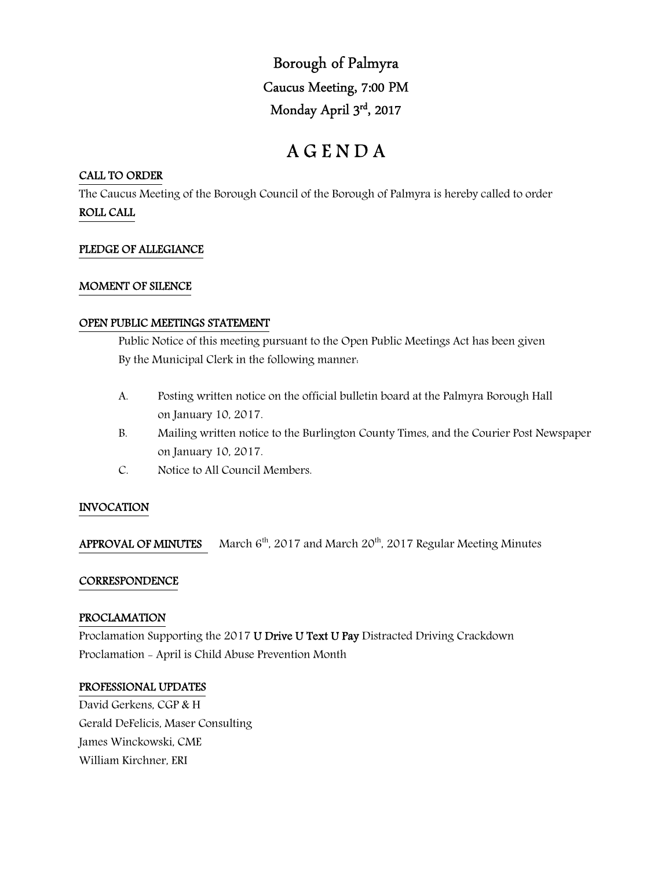Borough of Palmyra Caucus Meeting, 7:00 PM Monday April 3rd, 2017

# A G E N D A

## CALL TO ORDER

The Caucus Meeting of the Borough Council of the Borough of Palmyra is hereby called to order ROLL CALL

# PLEDGE OF ALLEGIANCE

## MOMENT OF SILENCE

## OPEN PUBLIC MEETINGS STATEMENT

 Public Notice of this meeting pursuant to the Open Public Meetings Act has been given By the Municipal Clerk in the following manner:

- A. Posting written notice on the official bulletin board at the Palmyra Borough Hall on January 10, 2017.
- B. Mailing written notice to the Burlington County Times, and the Courier Post Newspaper on January 10, 2017.
- C. Notice to All Council Members.

# INVOCATION

APPROVAL OF MINUTES March  $6<sup>th</sup>$ , 2017 and March 20<sup>th</sup>, 2017 Regular Meeting Minutes

## **CORRESPONDENCE**

## PROCLAMATION

Proclamation Supporting the 2017 U Drive U Text U Pay Distracted Driving Crackdown Proclamation - April is Child Abuse Prevention Month

## PROFESSIONAL UPDATES

David Gerkens, CGP & H Gerald DeFelicis, Maser Consulting James Winckowski, CME William Kirchner, ERI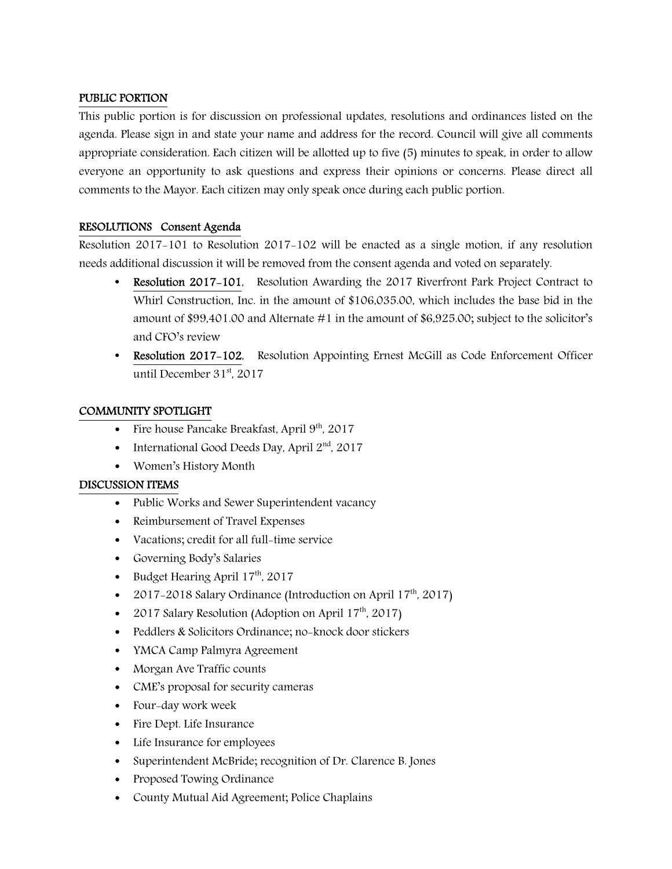## PUBLIC PORTION

This public portion is for discussion on professional updates, resolutions and ordinances listed on the agenda. Please sign in and state your name and address for the record. Council will give all comments appropriate consideration. Each citizen will be allotted up to five (5) minutes to speak, in order to allow everyone an opportunity to ask questions and express their opinions or concerns. Please direct all comments to the Mayor. Each citizen may only speak once during each public portion.

# RESOLUTIONS Consent Agenda

Resolution 2017-101 to Resolution 2017-102 will be enacted as a single motion, if any resolution needs additional discussion it will be removed from the consent agenda and voted on separately.

- Resolution 2017-101, Resolution Awarding the 2017 Riverfront Park Project Contract to Whirl Construction, Inc. in the amount of \$106,035.00, which includes the base bid in the amount of \$99,401.00 and Alternate #1 in the amount of \$6,925.00; subject to the solicitor's and CFO's review
- Resolution 2017-102, Resolution Appointing Ernest McGill as Code Enforcement Officer until December 31st, 2017

# COMMUNITY SPOTLIGHT

- Fire house Pancake Breakfast, April  $9<sup>th</sup>$ , 2017
- International Good Deeds Day, April  $2<sup>nd</sup>$ , 2017
- Women's History Month

## DISCUSSION ITEMS

- Public Works and Sewer Superintendent vacancy
- Reimbursement of Travel Expenses
- Vacations; credit for all full-time service
- Governing Body's Salaries
- Budget Hearing April  $17<sup>th</sup>$ , 2017
- 2017-2018 Salary Ordinance (Introduction on April  $17<sup>th</sup>$ , 2017)
- 2017 Salary Resolution (Adoption on April  $17<sup>th</sup>$ , 2017)
- Peddlers & Solicitors Ordinance; no-knock door stickers
- YMCA Camp Palmyra Agreement
- Morgan Ave Traffic counts
- CME's proposal for security cameras
- Four-day work week
- Fire Dept. Life Insurance
- Life Insurance for employees
- Superintendent McBride; recognition of Dr. Clarence B. Jones
- Proposed Towing Ordinance
- County Mutual Aid Agreement; Police Chaplains